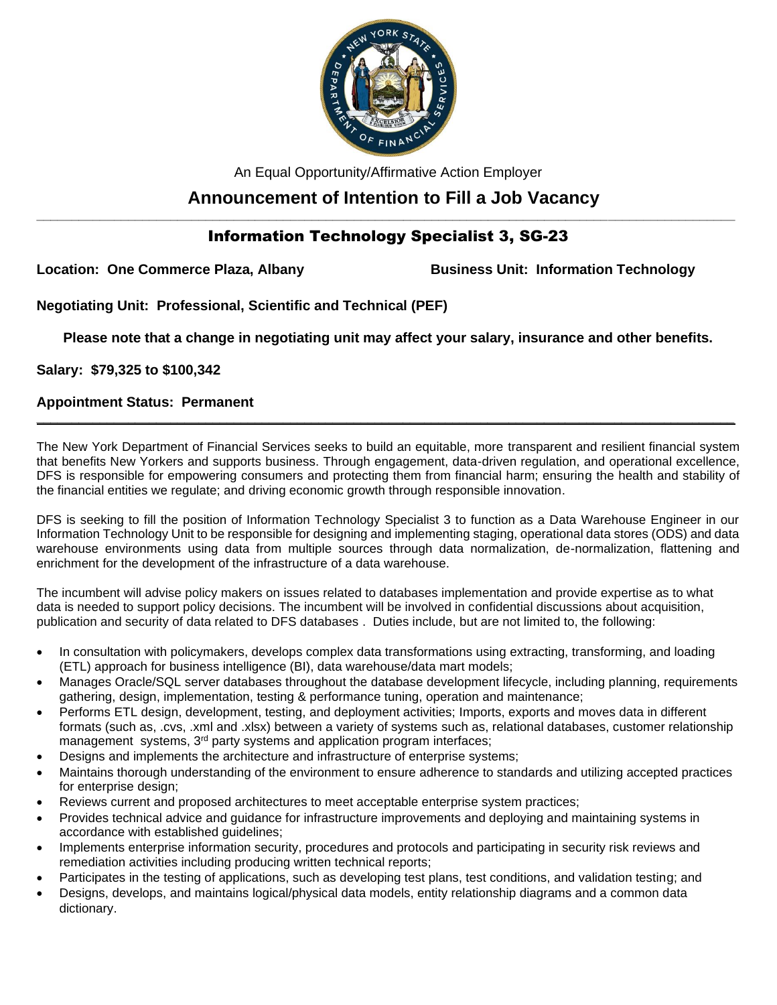

An Equal Opportunity/Affirmative Action Employer

# **Announcement of Intention to Fill a Job Vacancy**

## **\_\_\_\_\_\_\_\_\_\_\_\_\_\_\_\_\_\_\_\_\_\_\_\_\_\_\_\_\_\_\_\_\_\_\_\_\_\_\_\_\_\_\_\_\_\_\_\_\_\_\_\_\_\_\_\_\_\_\_\_\_\_\_\_\_\_\_\_\_\_\_\_\_\_\_\_\_\_\_\_\_\_\_\_\_\_\_\_\_\_\_\_\_\_\_\_\_\_\_** Information Technology Specialist 3, SG-23

**Location: One Commerce Plaza, Albany Business Unit: Information Technology**

**Negotiating Unit: Professional, Scientific and Technical (PEF)**

**Please note that a change in negotiating unit may affect your salary, insurance and other benefits.**

**Salary: \$79,325 to \$100,342** 

### **Appointment Status: Permanent**

The New York Department of Financial Services seeks to build an equitable, more transparent and resilient financial system that benefits New Yorkers and supports business. Through engagement, data-driven regulation, and operational excellence, DFS is responsible for empowering consumers and protecting them from financial harm; ensuring the health and stability of the financial entities we regulate; and driving economic growth through responsible innovation.

**\_\_\_\_\_\_\_\_\_\_\_\_\_\_\_\_\_\_\_\_\_\_\_\_\_\_\_\_\_\_\_\_\_\_\_\_\_\_\_\_\_\_\_\_\_\_\_\_\_\_\_\_\_\_\_\_\_\_\_\_\_\_\_\_\_\_\_\_\_\_\_\_\_\_\_\_\_\_\_\_\_\_\_\_\_\_\_\_\_\_\_\_\_\_\_\_\_\_\_**

DFS is seeking to fill the position of Information Technology Specialist 3 to function as a Data Warehouse Engineer in our Information Technology Unit to be responsible for designing and implementing staging, operational data stores (ODS) and data warehouse environments using data from multiple sources through data normalization, de-normalization, flattening and enrichment for the development of the infrastructure of a data warehouse.

The incumbent will advise policy makers on issues related to databases implementation and provide expertise as to what data is needed to support policy decisions. The incumbent will be involved in confidential discussions about acquisition, publication and security of data related to DFS databases . Duties include, but are not limited to, the following:

- In consultation with policymakers, develops complex data transformations using extracting, transforming, and loading (ETL) approach for business intelligence (BI), data warehouse/data mart models;
- Manages Oracle/SQL server databases throughout the database development lifecycle, including planning, requirements gathering, design, implementation, testing & performance tuning, operation and maintenance;
- Performs ETL design, development, testing, and deployment activities; Imports, exports and moves data in different formats (such as, .cvs, .xml and .xlsx) between a variety of systems such as, relational databases, customer relationship management systems, 3<sup>rd</sup> party systems and application program interfaces;
- Designs and implements the architecture and infrastructure of enterprise systems;
- Maintains thorough understanding of the environment to ensure adherence to standards and utilizing accepted practices for enterprise design;
- Reviews current and proposed architectures to meet acceptable enterprise system practices;
- Provides technical advice and guidance for infrastructure improvements and deploying and maintaining systems in accordance with established guidelines;
- Implements enterprise information security, procedures and protocols and participating in security risk reviews and remediation activities including producing written technical reports;
- Participates in the testing of applications, such as developing test plans, test conditions, and validation testing; and
- Designs, develops, and maintains logical/physical data models, entity relationship diagrams and a common data dictionary.